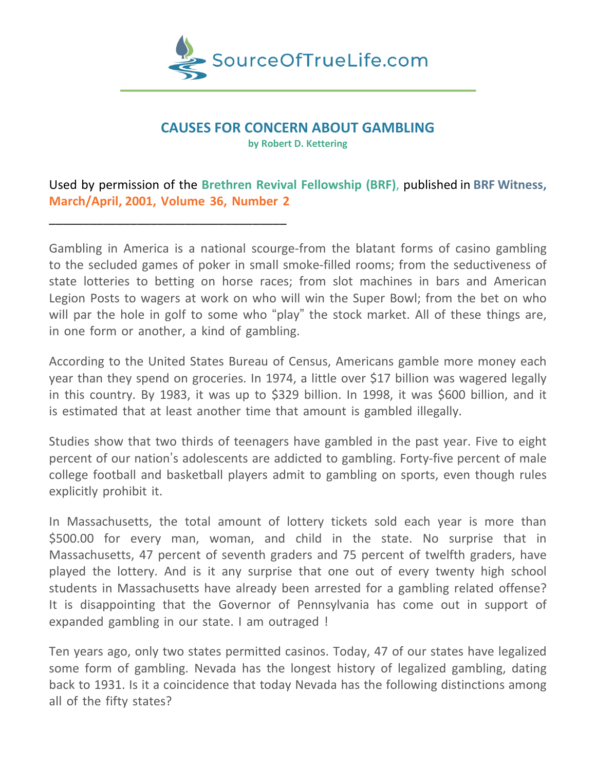

## **CAUSES FOR CONCERN ABOUT GAMBLING**

**by Robert D. Kettering**

# Used by permission of the **Brethren Revival Fellowship (BRF)**, published in **BRF Witness, March/April, 2001, Volume 36, Number 2**

\_\_\_\_\_\_\_\_\_\_\_\_\_\_\_\_\_\_\_\_\_\_\_\_\_\_\_\_\_\_\_\_\_\_\_

Gambling in America is a national scourge-from the blatant forms of casino gambling to the secluded games of poker in small smoke-filled rooms; from the seductiveness of state lotteries to betting on horse races; from slot machines in bars and American Legion Posts to wagers at work on who will win the Super Bowl; from the bet on who will par the hole in golf to some who "play" the stock market. All of these things are, in one form or another, a kind of gambling.

According to the United States Bureau of Census, Americans gamble more money each year than they spend on groceries. In 1974, a little over \$17 billion was wagered legally in this country. By 1983, it was up to \$329 billion. In 1998, it was \$600 billion, and it is estimated that at least another time that amount is gambled illegally.

Studies show that two thirds of teenagers have gambled in the past year. Five to eight percent of our nation's adolescents are addicted to gambling. Forty-five percent of male college football and basketball players admit to gambling on sports, even though rules explicitly prohibit it.

In Massachusetts, the total amount of lottery tickets sold each year is more than \$500.00 for every man, woman, and child in the state. No surprise that in Massachusetts, 47 percent of seventh graders and 75 percent of twelfth graders, have played the lottery. And is it any surprise that one out of every twenty high school students in Massachusetts have already been arrested for a gambling related offense? It is disappointing that the Governor of Pennsylvania has come out in support of expanded gambling in our state. I am outraged !

Ten years ago, only two states permitted casinos. Today, 47 of our states have legalized some form of gambling. Nevada has the longest history of legalized gambling, dating back to 1931. Is it a coincidence that today Nevada has the following distinctions among all of the fifty states?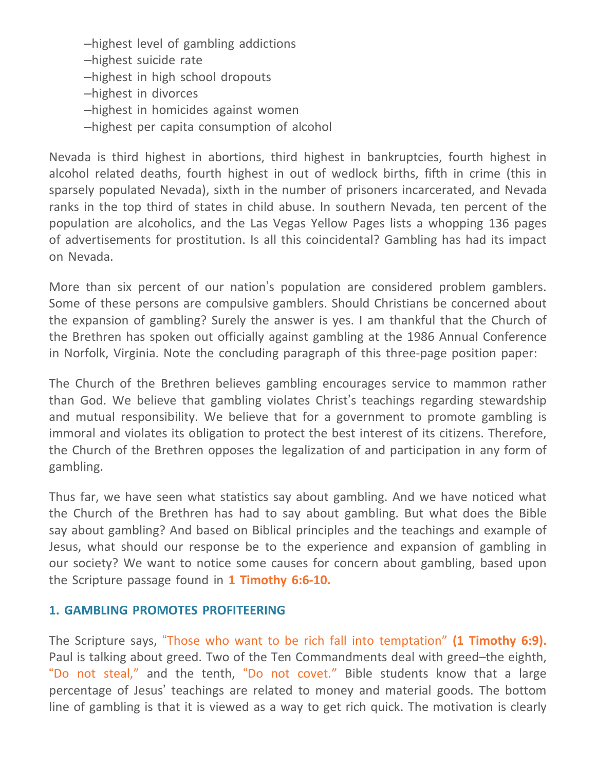–highest level of gambling addictions

- –highest suicide rate
- –highest in high school dropouts
- –highest in divorces
- –highest in homicides against women
- –highest per capita consumption of alcohol

Nevada is third highest in abortions, third highest in bankruptcies, fourth highest in alcohol related deaths, fourth highest in out of wedlock births, fifth in crime (this in sparsely populated Nevada), sixth in the number of prisoners incarcerated, and Nevada ranks in the top third of states in child abuse. In southern Nevada, ten percent of the population are alcoholics, and the Las Vegas Yellow Pages lists a whopping 136 pages of advertisements for prostitution. Is all this coincidental? Gambling has had its impact on Nevada.

More than six percent of our nation's population are considered problem gamblers. Some of these persons are compulsive gamblers. Should Christians be concerned about the expansion of gambling? Surely the answer is yes. I am thankful that the Church of the Brethren has spoken out officially against gambling at the 1986 Annual Conference in Norfolk, Virginia. Note the concluding paragraph of this three-page position paper:

The Church of the Brethren believes gambling encourages service to mammon rather than God. We believe that gambling violates Christ's teachings regarding stewardship and mutual responsibility. We believe that for a government to promote gambling is immoral and violates its obligation to protect the best interest of its citizens. Therefore, the Church of the Brethren opposes the legalization of and participation in any form of gambling.

Thus far, we have seen what statistics say about gambling. And we have noticed what the Church of the Brethren has had to say about gambling. But what does the Bible say about gambling? And based on Biblical principles and the teachings and example of Jesus, what should our response be to the experience and expansion of gambling in our society? We want to notice some causes for concern about gambling, based upon the Scripture passage found in **1 Timothy 6:6-10.**

## **1. GAMBLING PROMOTES PROFITEERING**

The Scripture says, "Those who want to be rich fall into temptation" **(1 Timothy 6:9).** Paul is talking about greed. Two of the Ten Commandments deal with greed–the eighth, "Do not steal," and the tenth, "Do not covet." Bible students know that a large percentage of Jesus' teachings are related to money and material goods. The bottom line of gambling is that it is viewed as a way to get rich quick. The motivation is clearly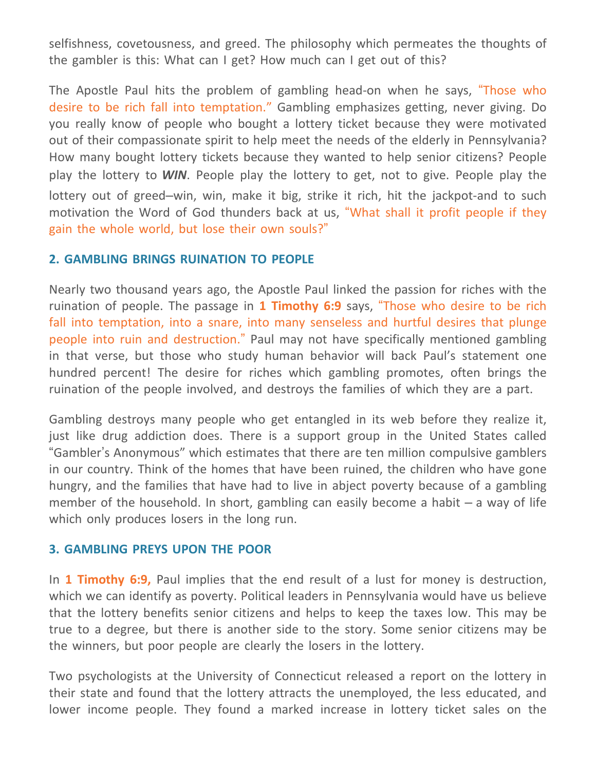selfishness, covetousness, and greed. The philosophy which permeates the thoughts of the gambler is this: What can I get? How much can I get out of this?

The Apostle Paul hits the problem of gambling head-on when he says, "Those who desire to be rich fall into temptation." Gambling emphasizes getting, never giving. Do you really know of people who bought a lottery ticket because they were motivated out of their compassionate spirit to help meet the needs of the elderly in Pennsylvania? How many bought lottery tickets because they wanted to help senior citizens? People play the lottery to *WIN*. People play the lottery to get, not to give. People play the lottery out of greed–win, win, make it big, strike it rich, hit the jackpot-and to such motivation the Word of God thunders back at us, "What shall it profit people if they gain the whole world, but lose their own souls?"

### **2. GAMBLING BRINGS RUINATION TO PEOPLE**

Nearly two thousand years ago, the Apostle Paul linked the passion for riches with the ruination of people. The passage in **1 Timothy 6:9** says, "Those who desire to be rich fall into temptation, into a snare, into many senseless and hurtful desires that plunge people into ruin and destruction." Paul may not have specifically mentioned gambling in that verse, but those who study human behavior will back Paul's statement one hundred percent! The desire for riches which gambling promotes, often brings the ruination of the people involved, and destroys the families of which they are a part.

Gambling destroys many people who get entangled in its web before they realize it, just like drug addiction does. There is a support group in the United States called "Gambler's Anonymous" which estimates that there are ten million compulsive gamblers in our country. Think of the homes that have been ruined, the children who have gone hungry, and the families that have had to live in abject poverty because of a gambling member of the household. In short, gambling can easily become a habit  $-$  a way of life which only produces losers in the long run.

#### **3. GAMBLING PREYS UPON THE POOR**

In **1 Timothy 6:9,** Paul implies that the end result of a lust for money is destruction, which we can identify as poverty. Political leaders in Pennsylvania would have us believe that the lottery benefits senior citizens and helps to keep the taxes low. This may be true to a degree, but there is another side to the story. Some senior citizens may be the winners, but poor people are clearly the losers in the lottery.

Two psychologists at the University of Connecticut released a report on the lottery in their state and found that the lottery attracts the unemployed, the less educated, and lower income people. They found a marked increase in lottery ticket sales on the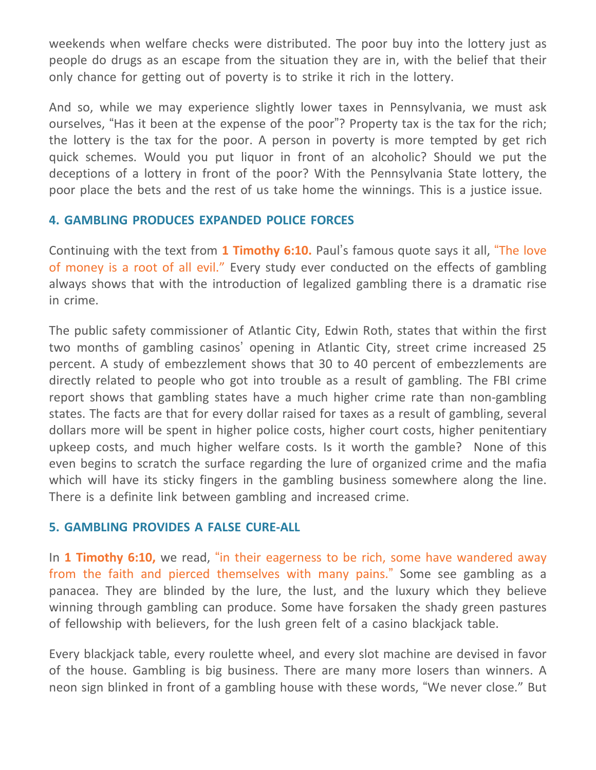weekends when welfare checks were distributed. The poor buy into the lottery just as people do drugs as an escape from the situation they are in, with the belief that their only chance for getting out of poverty is to strike it rich in the lottery.

And so, while we may experience slightly lower taxes in Pennsylvania, we must ask ourselves, "Has it been at the expense of the poor"? Property tax is the tax for the rich; the lottery is the tax for the poor. A person in poverty is more tempted by get rich quick schemes. Would you put liquor in front of an alcoholic? Should we put the deceptions of a lottery in front of the poor? With the Pennsylvania State lottery, the poor place the bets and the rest of us take home the winnings. This is a justice issue.

## **4. GAMBLING PRODUCES EXPANDED POLICE FORCES**

Continuing with the text from **1 Timothy 6:10.** Paul's famous quote says it all, "The love of money is a root of all evil." Every study ever conducted on the effects of gambling always shows that with the introduction of legalized gambling there is a dramatic rise in crime.

The public safety commissioner of Atlantic City, Edwin Roth, states that within the first two months of gambling casinos' opening in Atlantic City, street crime increased 25 percent. A study of embezzlement shows that 30 to 40 percent of embezzlements are directly related to people who got into trouble as a result of gambling. The FBI crime report shows that gambling states have a much higher crime rate than non-gambling states. The facts are that for every dollar raised for taxes as a result of gambling, several dollars more will be spent in higher police costs, higher court costs, higher penitentiary upkeep costs, and much higher welfare costs. Is it worth the gamble? None of this even begins to scratch the surface regarding the lure of organized crime and the mafia which will have its sticky fingers in the gambling business somewhere along the line. There is a definite link between gambling and increased crime.

## **5. GAMBLING PROVIDES A FALSE CURE-ALL**

In **1 Timothy 6:10,** we read, "in their eagerness to be rich, some have wandered away from the faith and pierced themselves with many pains." Some see gambling as a panacea. They are blinded by the lure, the lust, and the luxury which they believe winning through gambling can produce. Some have forsaken the shady green pastures of fellowship with believers, for the lush green felt of a casino blackjack table.

Every blackjack table, every roulette wheel, and every slot machine are devised in favor of the house. Gambling is big business. There are many more losers than winners. A neon sign blinked in front of a gambling house with these words, "We never close." But